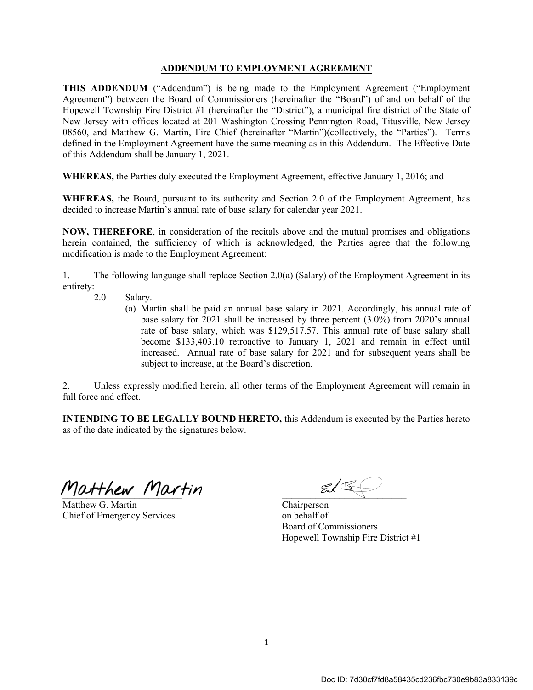## **ADDENDUM TO EMPLOYMENT AGREEMENT**

**THIS ADDENDUM** ("Addendum") is being made to the Employment Agreement ("Employment Agreement") between the Board of Commissioners (hereinafter the "Board") of and on behalf of the Hopewell Township Fire District #1 (hereinafter the "District"), a municipal fire district of the State of New Jersey with offices located at 201 Washington Crossing Pennington Road, Titusville, New Jersey 08560, and Matthew G. Martin, Fire Chief (hereinafter "Martin")(collectively, the "Parties"). Terms defined in the Employment Agreement have the same meaning as in this Addendum. The Effective Date of this Addendum shall be January 1, 2021.

**WHEREAS,** the Parties duly executed the Employment Agreement, effective January 1, 2016; and

**WHEREAS,** the Board, pursuant to its authority and Section 2.0 of the Employment Agreement, has decided to increase Martin's annual rate of base salary for calendar year 2021.

**NOW, THEREFORE**, in consideration of the recitals above and the mutual promises and obligations herein contained, the sufficiency of which is acknowledged, the Parties agree that the following modification is made to the Employment Agreement:

1. The following language shall replace Section 2.0(a) (Salary) of the Employment Agreement in its entirety:

- 2.0 Salary.
	- (a) Martin shall be paid an annual base salary in 2021. Accordingly, his annual rate of base salary for 2021 shall be increased by three percent (3.0%) from 2020's annual rate of base salary, which was \$129,517.57. This annual rate of base salary shall become \$133,403.10 retroactive to January 1, 2021 and remain in effect until increased. Annual rate of base salary for 2021 and for subsequent years shall be subject to increase, at the Board's discretion.

2. Unless expressly modified herein, all other terms of the Employment Agreement will remain in full force and effect.

**INTENDING TO BE LEGALLY BOUND HERETO, this Addendum is executed by the Parties hereto** as of the date indicated by the signatures below.

Matthew Martin 213

Matthew G. Martin Chairperson Chief of Emergency Services on behalf of

Board of Commissioners Hopewell Township Fire District #1